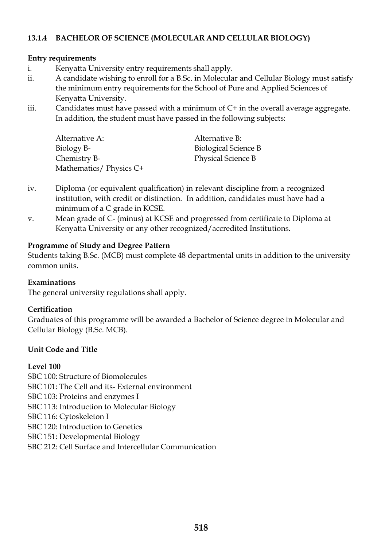### **13.1.4 BACHELOR OF SCIENCE (MOLECULAR AND CELLULAR BIOLOGY)**

#### **Entry requirements**

- i. Kenyatta University entry requirements shall apply.
- ii. A candidate wishing to enroll for a B.Sc. in Molecular and Cellular Biology must satisfy the minimum entry requirements for the School of Pure and Applied Sciences of Kenyatta University.
- iii. Candidates must have passed with a minimum of C+ in the overall average aggregate. In addition, the student must have passed in the following subjects:

| Alternative A:         | Alternative B:       |
|------------------------|----------------------|
| Biology B-             | Biological Science B |
| Chemistry B-           | Physical Science B   |
| Mathematics/Physics C+ |                      |

- iv. Diploma (or equivalent qualification) in relevant discipline from a recognized institution, with credit or distinction. In addition, candidates must have had a minimum of a C grade in KCSE.
- v. Mean grade of C- (minus) at KCSE and progressed from certificate to Diploma at Kenyatta University or any other recognized/accredited Institutions.

### **Programme of Study and Degree Pattern**

Students taking B.Sc. (MCB) must complete 48 departmental units in addition to the university common units.

#### **Examinations**

The general university regulations shall apply.

# **Certification**

Graduates of this programme will be awarded a Bachelor of Science degree in Molecular and Cellular Biology (B.Sc. MCB).

# **Unit Code and Title**

# **Level 100**

SBC 100: Structure of Biomolecules

- SBC 101: The Cell and its- External environment
- SBC 103: Proteins and enzymes I
- SBC 113: Introduction to Molecular Biology

SBC 116: Cytoskeleton I

- SBC 120: Introduction to Genetics
- SBC 151: Developmental Biology
- SBC 212: Cell Surface and Intercellular Communication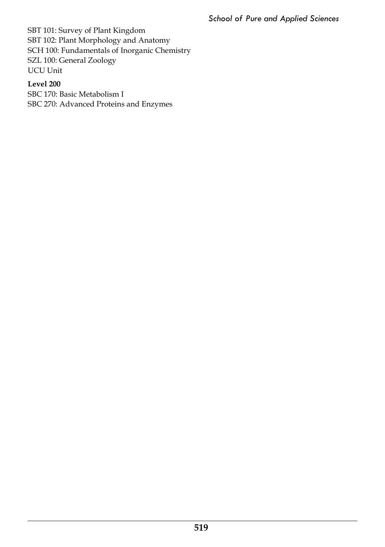SBT 101: Survey of Plant Kingdom SBT 102: Plant Morphology and Anatomy SCH 100: Fundamentals of Inorganic Chemistry SZL 100: General Zoology UCU Unit

# **Level 200**

SBC 170: Basic Metabolism I SBC 270: Advanced Proteins and Enzymes